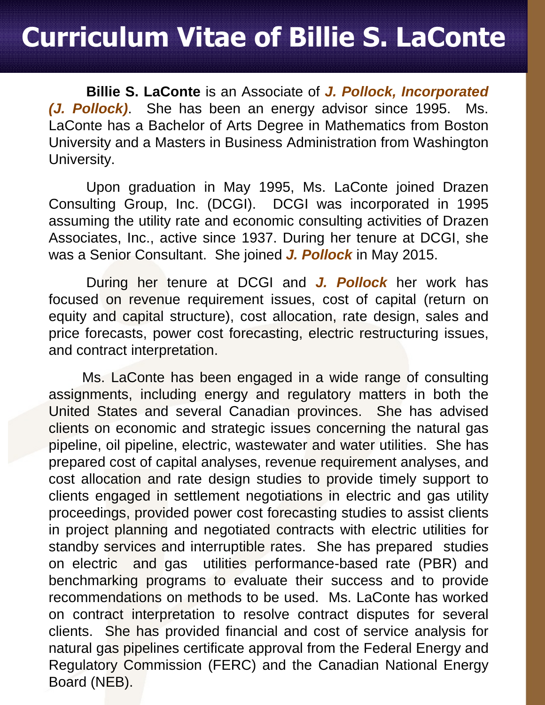## **Curriculum Vitae of Billie S. LaConte**

**Billie S. LaConte** is an Associate of *J. Pollock, Incorporated (J. Pollock)*. She has been an energy advisor since 1995. Ms. LaConte has a Bachelor of Arts Degree in Mathematics from Boston University and a Masters in Business Administration from Washington University.

Upon graduation in May 1995, Ms. LaConte joined Drazen Consulting Group, Inc. (DCGI). DCGI was incorporated in 1995 assuming the utility rate and economic consulting activities of Drazen Associates, Inc., active since 1937. During her tenure at DCGI, she was a Senior Consultant. She joined *J. Pollock* in May 2015.

During her tenure at DCGI and *J. Pollock* her work has focused on revenue requirement issues, cost of capital (return on equity and capital structure), cost allocation, rate design, sales and price forecasts, power cost forecasting, electric restructuring issues, and contract interpretation.

Ms. LaConte has been engaged in a wide range of consulting assignments, including energy and regulatory matters in both the United States and several Canadian provinces. She has advised clients on economic and strategic issues concerning the natural gas pipeline, oil pipeline, electric, wastewater and water utilities. She has prepared cost of capital analyses, revenue requirement analyses, and cost allocation and rate design studies to provide timely support to clients engaged in settlement negotiations in electric and gas utility proceedings, provided power cost forecasting studies to assist clients in project planning and negotiated contracts with electric utilities for standby services and interruptible rates. She has prepared studies on electric and gas utilities performance-based rate (PBR) and benchmarking programs to evaluate their success and to provide recommendations on methods to be used. Ms. LaConte has worked on contract interpretation to resolve contract disputes for several clients. She has provided financial and cost of service analysis for natural gas pipelines certificate approval from the Federal Energy and Regulatory Commission (FERC) and the Canadian National Energy Board (NEB).